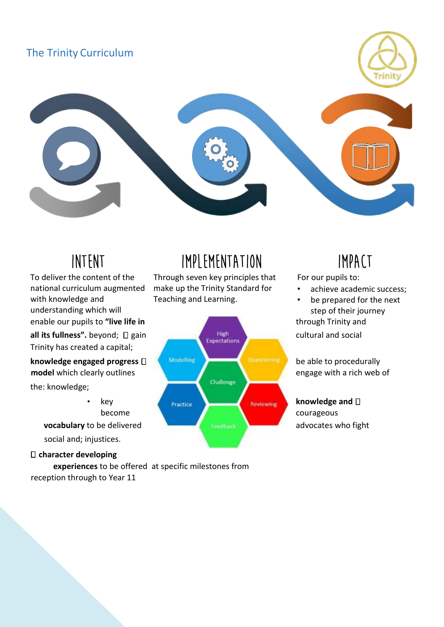### The Trinity Curriculum



Trinity has created a capital; To deliver the content of the national curriculum augmented with knowledge and understanding which will

the: knowledge;

social and; injustices.

### **character developing**

**experiences** to be offered at specific milestones from reception through to Year 11

## Intent Implementation Impact

Through seven key principles that make up the Trinity Standard for Teaching and Learning.



For our pupils to:

- achieve academic success;
- be prepared for the next step of their journey